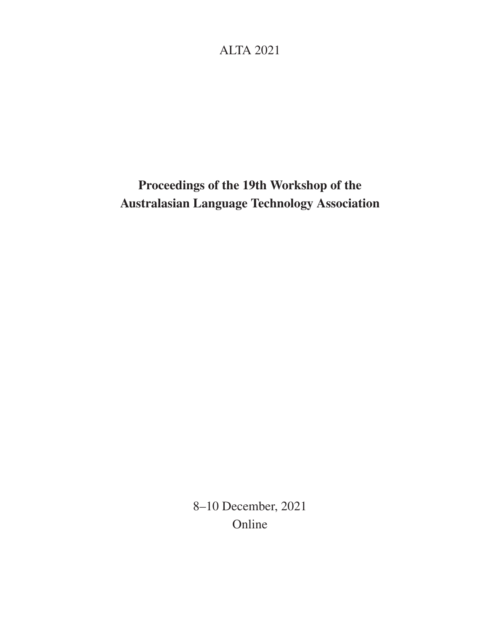# ALTA 2021

# Proceedings of the 19th Workshop of the Australasian Language Technology Association

8–10 December, 2021 Online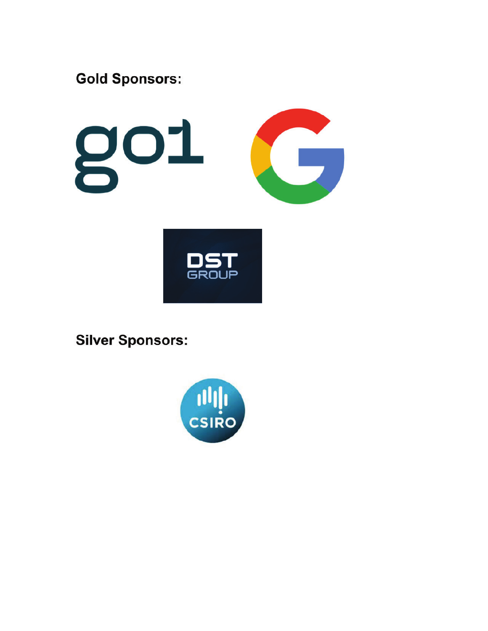

GROUP

**Silver Sponsors:** 

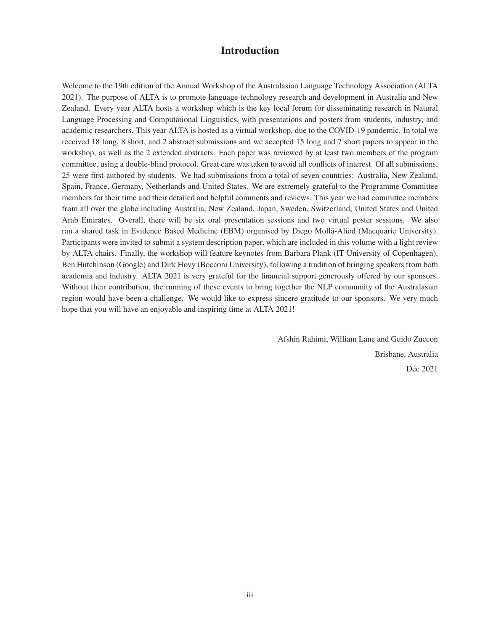## Introduction

Welcome to the 19th edition of the Annual Workshop of the Australasian Language Technology Association (ALTA 2021). The purpose of ALTA is to promote language technology research and development in Australia and New Zealand. Every year ALTA hosts a workshop which is the key local forum for disseminating research in Natural Language Processing and Computational Linguistics, with presentations and posters from students, industry, and academic researchers. This year ALTA is hosted as a virtual workshop, due to the COVID-19 pandemic. In total we received 18 long, 8 short, and 2 abstract submissions and we accepted 15 long and 7 short papers to appear in the workshop, as well as the 2 extended abstracts. Each paper was reviewed by at least two members of the program committee, using a double-blind protocol. Great care was taken to avoid all conflicts of interest. Of all submissions, 25 were first-authored by students. We had submissions from a total of seven countries: Australia, New Zealand, Spain, France, Germany, Netherlands and United States. We are extremely grateful to the Programme Committee members for their time and their detailed and helpful comments and reviews. This year we had committee members from all over the globe including Australia, New Zealand, Japan, Sweden, Switzerland, United States and United Arab Emirates. Overall, there will be six oral presentation sessions and two virtual poster sessions. We also ran a shared task in Evidence Based Medicine (EBM) organised by Diego Mollá-Aliod (Macquarie University). Participants were invited to submit a system description paper, which are included in this volume with a light review by ALTA chairs. Finally, the workshop will feature keynotes from Barbara Plank (IT University of Copenhagen), Ben Hutchinson (Google) and Dirk Hovy (Bocconi University), following a tradition of bringing speakers from both academia and industry. ALTA 2021 is very grateful for the financial support generously offered by our sponsors. Without their contribution, the running of these events to bring together the NLP community of the Australasian region would have been a challenge. We would like to express sincere gratitude to our sponsors. We very much hope that you will have an enjoyable and inspiring time at ALTA 2021!

> Afshin Rahimi, William Lane and Guido Zuccon Brisbane, Australia Dec 2021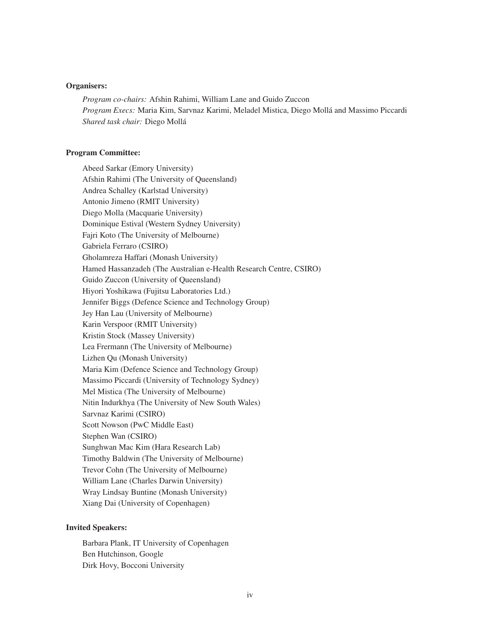#### Organisers:

*Program co-chairs:* Afshin Rahimi, William Lane and Guido Zuccon *Program Execs:* Maria Kim, Sarvnaz Karimi, Meladel Mistica, Diego Mollá and Massimo Piccardi *Shared task chair:* Diego Mollá

#### Program Committee:

Abeed Sarkar (Emory University) Afshin Rahimi (The University of Queensland) Andrea Schalley (Karlstad University) Antonio Jimeno (RMIT University) Diego Molla (Macquarie University) Dominique Estival (Western Sydney University) Fajri Koto (The University of Melbourne) Gabriela Ferraro (CSIRO) Gholamreza Haffari (Monash University) Hamed Hassanzadeh (The Australian e-Health Research Centre, CSIRO) Guido Zuccon (University of Queensland) Hiyori Yoshikawa (Fujitsu Laboratories Ltd.) Jennifer Biggs (Defence Science and Technology Group) Jey Han Lau (University of Melbourne) Karin Verspoor (RMIT University) Kristin Stock (Massey University) Lea Frermann (The University of Melbourne) Lizhen Qu (Monash University) Maria Kim (Defence Science and Technology Group) Massimo Piccardi (University of Technology Sydney) Mel Mistica (The University of Melbourne) Nitin Indurkhya (The University of New South Wales) Sarvnaz Karimi (CSIRO) Scott Nowson (PwC Middle East) Stephen Wan (CSIRO) Sunghwan Mac Kim (Hara Research Lab) Timothy Baldwin (The University of Melbourne) Trevor Cohn (The University of Melbourne) William Lane (Charles Darwin University) Wray Lindsay Buntine (Monash University) Xiang Dai (University of Copenhagen)

#### Invited Speakers:

Barbara Plank, IT University of Copenhagen Ben Hutchinson, Google Dirk Hovy, Bocconi University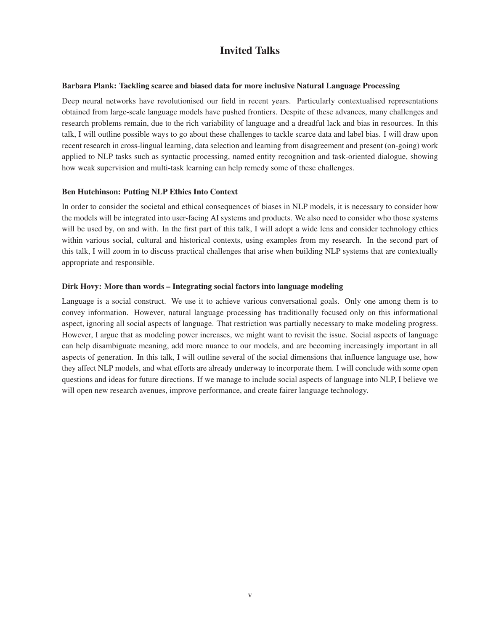## Invited Talks

#### Barbara Plank: Tackling scarce and biased data for more inclusive Natural Language Processing

Deep neural networks have revolutionised our field in recent years. Particularly contextualised representations obtained from large-scale language models have pushed frontiers. Despite of these advances, many challenges and research problems remain, due to the rich variability of language and a dreadful lack and bias in resources. In this talk, I will outline possible ways to go about these challenges to tackle scarce data and label bias. I will draw upon recent research in cross-lingual learning, data selection and learning from disagreement and present (on-going) work applied to NLP tasks such as syntactic processing, named entity recognition and task-oriented dialogue, showing how weak supervision and multi-task learning can help remedy some of these challenges.

## Ben Hutchinson: Putting NLP Ethics Into Context

In order to consider the societal and ethical consequences of biases in NLP models, it is necessary to consider how the models will be integrated into user-facing AI systems and products. We also need to consider who those systems will be used by, on and with. In the first part of this talk, I will adopt a wide lens and consider technology ethics within various social, cultural and historical contexts, using examples from my research. In the second part of this talk, I will zoom in to discuss practical challenges that arise when building NLP systems that are contextually appropriate and responsible.

## Dirk Hovy: More than words – Integrating social factors into language modeling

Language is a social construct. We use it to achieve various conversational goals. Only one among them is to convey information. However, natural language processing has traditionally focused only on this informational aspect, ignoring all social aspects of language. That restriction was partially necessary to make modeling progress. However, I argue that as modeling power increases, we might want to revisit the issue. Social aspects of language can help disambiguate meaning, add more nuance to our models, and are becoming increasingly important in all aspects of generation. In this talk, I will outline several of the social dimensions that influence language use, how they affect NLP models, and what efforts are already underway to incorporate them. I will conclude with some open questions and ideas for future directions. If we manage to include social aspects of language into NLP, I believe we will open new research avenues, improve performance, and create fairer language technology.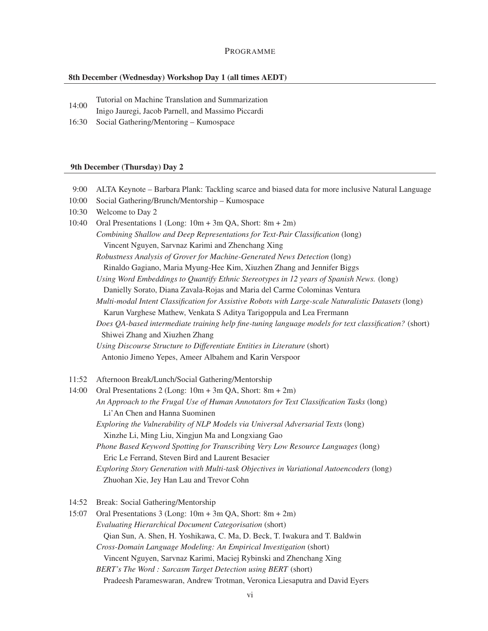#### 8th December (Wednesday) Workshop Day 1 (all times AEDT)

- 14:00 Tutorial on Machine Translation and Summarization
- Inigo Jauregi, Jacob Parnell, and Massimo Piccardi
- 16:30 Social Gathering/Mentoring Kumospace

#### 9th December (Thursday) Day 2

- 9:00 ALTA Keynote Barbara Plank: Tackling scarce and biased data for more inclusive Natural Language
- 10:00 Social Gathering/Brunch/Mentorship Kumospace
- 10:30 Welcome to Day 2
- 10:40 Oral Presentations 1 (Long: 10m + 3m QA, Short: 8m + 2m) *Combining Shallow and Deep Representations for Text-Pair Classification* (long) Vincent Nguyen, Sarvnaz Karimi and Zhenchang Xing *Robustness Analysis of Grover for Machine-Generated News Detection* (long) Rinaldo Gagiano, Maria Myung-Hee Kim, Xiuzhen Zhang and Jennifer Biggs *Using Word Embeddings to Quantify Ethnic Stereotypes in 12 years of Spanish News.* (long) Danielly Sorato, Diana Zavala-Rojas and Maria del Carme Colominas Ventura *Multi-modal Intent Classification for Assistive Robots with Large-scale Naturalistic Datasets* (long) Karun Varghese Mathew, Venkata S Aditya Tarigoppula and Lea Frermann *Does QA-based intermediate training help fine-tuning language models for text classification?* (short) Shiwei Zhang and Xiuzhen Zhang *Using Discourse Structure to Differentiate Entities in Literature* (short) Antonio Jimeno Yepes, Ameer Albahem and Karin Verspoor
- 11:52 Afternoon Break/Lunch/Social Gathering/Mentorship

14:00 Oral Presentations 2 (Long: 10m + 3m QA, Short: 8m + 2m) *An Approach to the Frugal Use of Human Annotators for Text Classification Tasks* (long) Li'An Chen and Hanna Suominen *Exploring the Vulnerability of NLP Models via Universal Adversarial Texts* (long) Xinzhe Li, Ming Liu, Xingjun Ma and Longxiang Gao *Phone Based Keyword Spotting for Transcribing Very Low Resource Languages* (long) Eric Le Ferrand, Steven Bird and Laurent Besacier *Exploring Story Generation with Multi-task Objectives in Variational Autoencoders* (long) Zhuohan Xie, Jey Han Lau and Trevor Cohn

14:52 Break: Social Gathering/Mentorship

15:07 Oral Presentations 3 (Long: 10m + 3m QA, Short: 8m + 2m) *Evaluating Hierarchical Document Categorisation* (short) Qian Sun, A. Shen, H. Yoshikawa, C. Ma, D. Beck, T. Iwakura and T. Baldwin *Cross-Domain Language Modeling: An Empirical Investigation* (short) Vincent Nguyen, Sarvnaz Karimi, Maciej Rybinski and Zhenchang Xing *BERT's The Word : Sarcasm Target Detection using BERT* (short)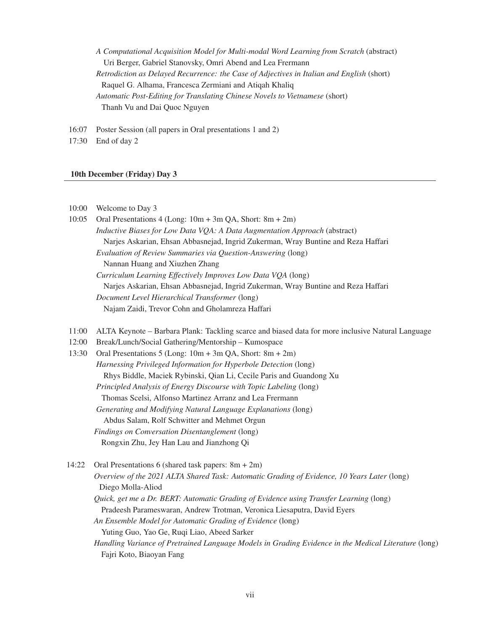*A Computational Acquisition Model for Multi-modal Word Learning from Scratch* (abstract) Uri Berger, Gabriel Stanovsky, Omri Abend and Lea Frermann *Retrodiction as Delayed Recurrence: the Case of Adjectives in Italian and English* (short) Raquel G. Alhama, Francesca Zermiani and Atiqah Khaliq *Automatic Post-Editing for Translating Chinese Novels to Vietnamese* (short) Thanh Vu and Dai Quoc Nguyen

16:07 Poster Session (all papers in Oral presentations 1 and 2)

17:30 End of day 2

#### 10th December (Friday) Day 3

| 10:00 | Welcome to Day 3 |  |
|-------|------------------|--|
|-------|------------------|--|

- 10:05 Oral Presentations 4 (Long: 10m + 3m QA, Short: 8m + 2m) *Inductive Biases for Low Data VQA: A Data Augmentation Approach* (abstract) Narjes Askarian, Ehsan Abbasnejad, Ingrid Zukerman, Wray Buntine and Reza Haffari *Evaluation of Review Summaries via Question-Answering* (long) Nannan Huang and Xiuzhen Zhang *Curriculum Learning Effectively Improves Low Data VQA* (long) Narjes Askarian, Ehsan Abbasnejad, Ingrid Zukerman, Wray Buntine and Reza Haffari *Document Level Hierarchical Transformer* (long) Najam Zaidi, Trevor Cohn and Gholamreza Haffari
- 11:00 ALTA Keynote Barbara Plank: Tackling scarce and biased data for more inclusive Natural Language
- 12:00 Break/Lunch/Social Gathering/Mentorship Kumospace
- 13:30 Oral Presentations 5 (Long: 10m + 3m QA, Short: 8m + 2m) *Harnessing Privileged Information for Hyperbole Detection* (long) Rhys Biddle, Maciek Rybinski, Qian Li, Cecile Paris and Guandong Xu *Principled Analysis of Energy Discourse with Topic Labeling* (long) Thomas Scelsi, Alfonso Martinez Arranz and Lea Frermann *Generating and Modifying Natural Language Explanations* (long) Abdus Salam, Rolf Schwitter and Mehmet Orgun *Findings on Conversation Disentanglement* (long) Rongxin Zhu, Jey Han Lau and Jianzhong Qi

14:22 Oral Presentations 6 (shared task papers: 8m + 2m) *Overview of the 2021 ALTA Shared Task: Automatic Grading of Evidence, 10 Years Later* (long) Diego Molla-Aliod *Quick, get me a Dr. BERT: Automatic Grading of Evidence using Transfer Learning* (long) Pradeesh Parameswaran, Andrew Trotman, Veronica Liesaputra, David Eyers *An Ensemble Model for Automatic Grading of Evidence* (long) Yuting Guo, Yao Ge, Ruqi Liao, Abeed Sarker *Handling Variance of Pretrained Language Models in Grading Evidence in the Medical Literature* (long) Fajri Koto, Biaoyan Fang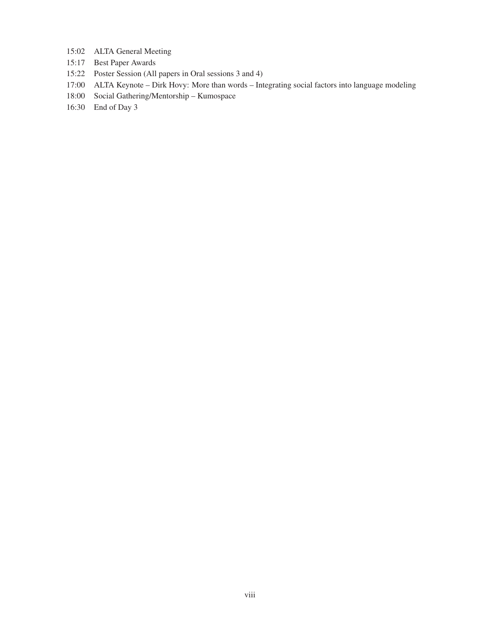- 15:02 ALTA General Meeting
- 15:17 Best Paper Awards
- 15:22 Poster Session (All papers in Oral sessions 3 and 4)
- 17:00 ALTA Keynote Dirk Hovy: More than words Integrating social factors into language modeling
- 18:00 Social Gathering/Mentorship Kumospace
- 16:30 End of Day 3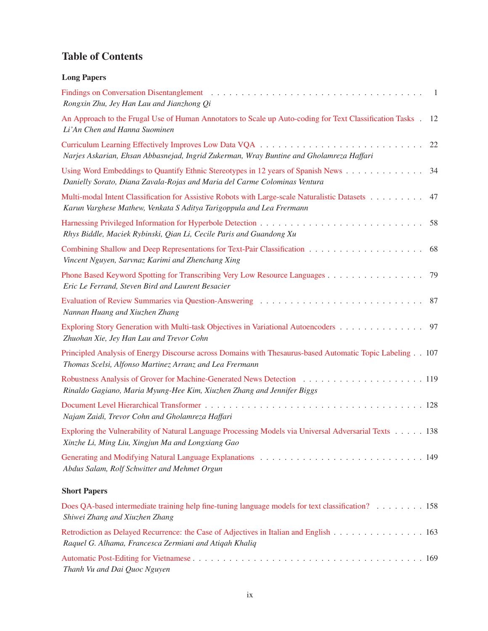# Table of Contents

| <b>Long Papers</b>                                                                                                                                                                                                                                                                 |
|------------------------------------------------------------------------------------------------------------------------------------------------------------------------------------------------------------------------------------------------------------------------------------|
| Findings on Conversation Disentanglement (a) respectively and the set of the set of the set of the set of the set of the set of the set of the set of the set of the set of the set of the set of the set of the set of the se<br>- 1<br>Rongxin Zhu, Jey Han Lau and Jianzhong Qi |
| An Approach to the Frugal Use of Human Annotators to Scale up Auto-coding for Text Classification Tasks.<br>12<br>Li'An Chen and Hanna Suominen                                                                                                                                    |
| 22<br>Narjes Askarian, Ehsan Abbasnejad, Ingrid Zukerman, Wray Buntine and Gholamreza Haffari                                                                                                                                                                                      |
| Using Word Embeddings to Quantify Ethnic Stereotypes in 12 years of Spanish News<br>34<br>Danielly Sorato, Diana Zavala-Rojas and Maria del Carme Colominas Ventura                                                                                                                |
| Multi-modal Intent Classification for Assistive Robots with Large-scale Naturalistic Datasets<br>47<br>Karun Varghese Mathew, Venkata S Aditya Tarigoppula and Lea Frermann                                                                                                        |
| 58<br>Rhys Biddle, Maciek Rybinski, Qian Li, Cecile Paris and Guandong Xu                                                                                                                                                                                                          |
| 68<br>Vincent Nguyen, Sarvnaz Karimi and Zhenchang Xing                                                                                                                                                                                                                            |
| Phone Based Keyword Spotting for Transcribing Very Low Resource Languages<br>79<br>Eric Le Ferrand, Steven Bird and Laurent Besacier                                                                                                                                               |
| -87<br>Nannan Huang and Xiuzhen Zhang                                                                                                                                                                                                                                              |
| Exploring Story Generation with Multi-task Objectives in Variational Autoencoders<br>97<br>Zhuohan Xie, Jey Han Lau and Trevor Cohn                                                                                                                                                |
| Principled Analysis of Energy Discourse across Domains with Thesaurus-based Automatic Topic Labeling 107<br>Thomas Scelsi, Alfonso Martinez Arranz and Lea Frermann                                                                                                                |
| Rinaldo Gagiano, Maria Myung-Hee Kim, Xiuzhen Zhang and Jennifer Biggs                                                                                                                                                                                                             |
| Najam Zaidi, Trevor Cohn and Gholamreza Haffari                                                                                                                                                                                                                                    |
| Exploring the Vulnerability of Natural Language Processing Models via Universal Adversarial Texts 138<br>Xinzhe Li, Ming Liu, Xingjun Ma and Longxiang Gao                                                                                                                         |
| Abdus Salam, Rolf Schwitter and Mehmet Orgun                                                                                                                                                                                                                                       |
| <b>Short Papers</b>                                                                                                                                                                                                                                                                |

| Does QA-based intermediate training help fine-tuning language models for text classification? 158                                               |  |
|-------------------------------------------------------------------------------------------------------------------------------------------------|--|
| Shiwei Zhang and Xiuzhen Zhang                                                                                                                  |  |
| Retrodiction as Delayed Recurrence: the Case of Adjectives in Italian and English 163<br>Raquel G. Alhama, Francesca Zermiani and Atigah Khalig |  |
| Thanh Vu and Dai Quoc Nguyen                                                                                                                    |  |